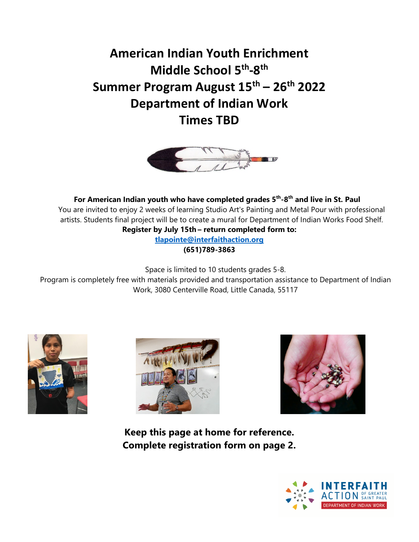**American Indian Youth Enrichment Middle School 5th-8th Summer Program August 15th – 26th 2022 Department of Indian Work Times TBD** 



**For American Indian youth who have completed grades 5th-8th and live in St. Paul** You are invited to enjoy 2 weeks of learning Studio Art's Painting and Metal Pour with professional artists. Students final project will be to create a mural for Department of Indian Works Food Shelf. **Register by July 15th – return completed form to:**

> **tlapointe@interfaithaction.org (651)789-3863**

Space is limited to 10 students grades 5-8.

Program is completely free with materials provided and transportation assistance to Department of Indian Work, 3080 Centerville Road, Little Canada, 55117







**Keep this page at home for reference. Complete registration form on page 2.**

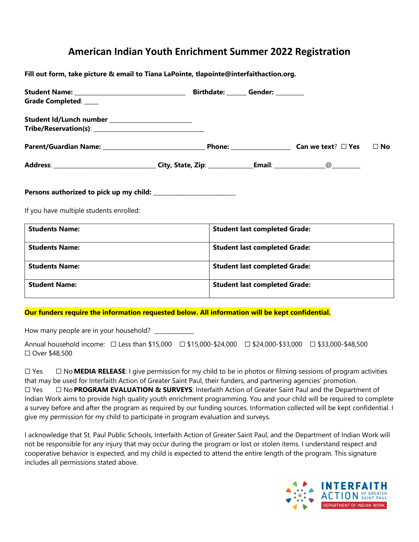## **American Indian Youth Enrichment Summer 2022 Registration**

**Fill out form, take picture & email to Tiana LaPointe, tlapointe@interfaithaction.org.**

| Grade Completed: ____                           |  |                                      |           |
|-------------------------------------------------|--|--------------------------------------|-----------|
| Student Id/Lunch number _______________________ |  |                                      |           |
|                                                 |  |                                      |           |
|                                                 |  |                                      | $\Box$ No |
|                                                 |  |                                      |           |
| If you have multiple students enrolled:         |  |                                      |           |
| <b>Students Name:</b>                           |  | <b>Student last completed Grade:</b> |           |
| <b>Students Name:</b>                           |  | <b>Student last completed Grade:</b> |           |
| <b>Students Name:</b>                           |  | <b>Student last completed Grade:</b> |           |
| <b>Student Name:</b>                            |  | <b>Student last completed Grade:</b> |           |

## **Our funders require the information requested below. All information will be kept confidential.**

How many people are in your household? \_\_\_\_\_\_\_\_\_\_\_\_\_\_

Annual household income: □ Less than \$15,000 □ \$15,000-\$24,000 □ \$24,000-\$33,000 □ \$33,000-\$48,500 ☐ Over \$48,500

☐ Yes ☐ No **MEDIA RELEASE**: I give permission for my child to be in photos or filming sessions of program activities that may be used for Interfaith Action of Greater Saint Paul, their funders, and partnering agencies' promotion. ☐ Yes ☐ No **PROGRAM EVALUATION & SURVEYS**: Interfaith Action of Greater Saint Paul and the Department of Indian Work aims to provide high quality youth enrichment programming. You and your child will be required to complete a survey before and after the program as required by our funding sources. Information collected will be kept confidential. I give my permission for my child to participate in program evaluation and surveys.

I acknowledge that St. Paul Public Schools, Interfaith Action of Greater Saint Paul, and the Department of Indian Work will not be responsible for any injury that may occur during the program or lost or stolen items. I understand respect and cooperative behavior is expected, and my child is expected to attend the entire length of the program. This signature includes all permissions stated above.